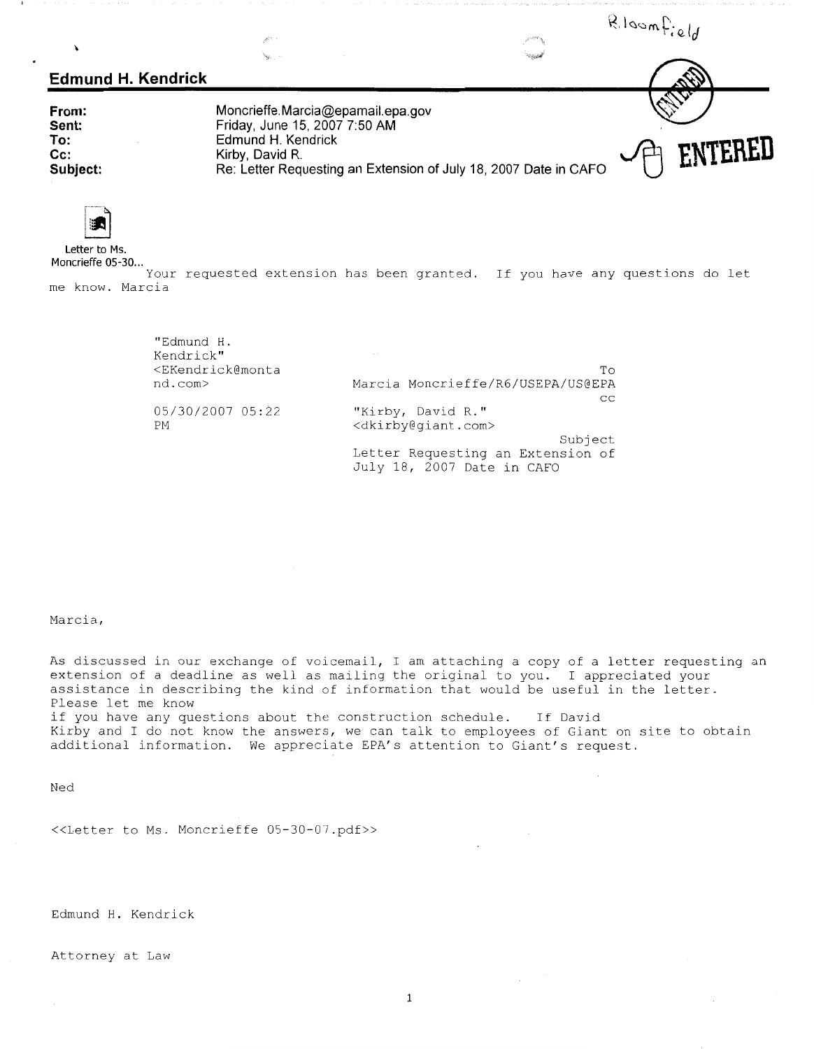R.loomfield  $\lambda$ **Edmund H. Kendrick Moncrieffe. Marcia@epamail.epa.gov From:**   $R_{\text{R}}$ <br>
R. **Cendrick**<br>
R. **Cendrick Friday, June 15, 2007 7:50 AM Sent: To: Reference All Accords** Reported R. Kirby, David R. Kirby, David R. **Reference State State In CAFO**<br>Re: Letter Requesting an Extension of July 18, 2007 Date in CAFO<sup>
</sup> **ENTERED Edmund H. Kendrick Kirby, David Cc: Subject:** 



**Letter to Ms.** 

**Moncrieffe 05-30 ...**  Your requested extension has been granted. If you have any questions do let me know. Marcia

| "Edmund H.<br>Kendrick"                                 |                                       |
|---------------------------------------------------------|---------------------------------------|
| <ekendrick@monta< td=""><td>To.</td></ekendrick@monta<> | To.                                   |
| nd.com>                                                 | Marcia Moncrieffe/R6/USEPA/US@EPA     |
|                                                         | CC                                    |
| 05/30/2007 05:22                                        | "Kirby, David R."                     |
| PM.                                                     | <dkirby@giant.com></dkirby@giant.com> |
|                                                         | Subject                               |
|                                                         | Letter Requesting an Extension of     |
|                                                         | July 18, 2007 Date in CAFO            |

Marcia,

As discussed in our exchange of voicemail, I am attaching a copy of a letter requesting an extension of a deadline as well as mailing the original to you. I appreciated your assistance in describing the kind of information that would be useful in the letter. Please let me know if you have any questions about the construction schedule. If David Kirby and I do not know the answers, we can talk to employees of Giant on site to obtain additional information. We appreciate EPA's attention to Giant's request.

Ned

<<Letter to Ms. Moncrieffe 05-30-07.pdf>>

Edmund H. Kendrick

Attorney at Law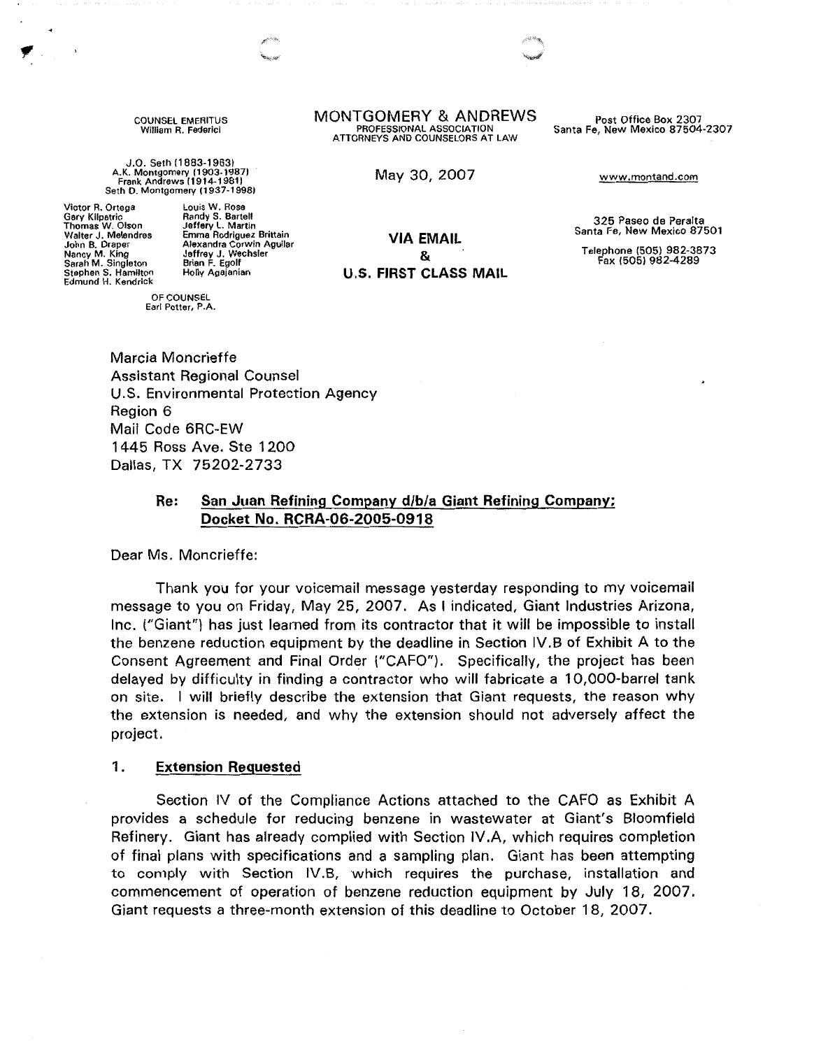COUNSEL EMERITUS William R. Federici

J.0. Seth (1883-1963} A.K. Montgomery (1903-1987} Frank Andrews I 1914-1981 l Seth D. Montgomery (1937-1998}

Victor R. Ortega Gary Kllpatric Thomas W. Olson Walter J. Melendres John B. Draper Nancy **M.** King Sarah **M.** Singleton Stephen S. Hamilton Edmund H. Kendrick

Louis W. Rose Randy S. Bartell Jeffery L. Martin Emma Rodriguez Brittain Alexandra Corwin Aguilar Jeffrey J. Wechsler Brian F. Egolf Holly Agajanian

OF COUNSEL Earl Potter, P.A. **MONTGOMERY & ANDREWS** Post Office Box 2307<br>PROFESSIONAL ASSOCIATION Santa Fe. New Mexico 87504 ATTORNEYS AND COUNSELORS AT LAW

May 30, 2007 www.montand.com

Santa Fe, New Mexico 87504-2307

**VIA EMAIL**  & **U.S. FIRST CLASS MAIL** 

325 Paseo de Peralta Santa Fe, New Mexico 87501

Telephone (505) 982-3873 Fax (505) 982-4289

Marcia Moncrieffe Assistant Regional Counsel U.S. Environmental Protection Agency Region 6 Mail Code 6RC-EW 1445 Ross Ave. Ste 1200 Dallas, TX 75202-2733

# **Re: San Juan Refining Company d/b/a Giant Refining Company; Docket No. RCRA-06-2005-0918**

Dear Ms. Moncrieffe:

Thank you for your voicemail message yesterday responding to my voicemail message to you on Friday, May 25, 2007. As I indicated, Giant Industries Arizona, Inc. ("Giant") has just learned from its contractor that it will be impossible to install the benzene reduction equipment by the deadline in Section IV.B of Exhibit A to the Consent Agreement and Final Order ("CAFO"). Specifically, the project has been delayed by difficulty in finding a contractor who will fabricate a 10,000-barrel tank on site. I will briefly describe the extension that Giant requests, the reason why the extension is needed, and why the extension should not adversely affect the project.

#### 1. **Extension Requested**

Section IV of the Compliance Actions attached to the CAFO as Exhibit A provides a schedule for reducing benzene in wastewater at Giant's Bloomfield Refinery. Giant has already complied with Section IV.A, which requires completion of final plans with specifications and a sampling plan. Giant has been attempting to comply with Section IV.B, which requires the purchase, installation and commencement of operation of benzene reduction equipment by July 18, 2007. Giant requests a three-month extension of this deadline to October 18, 2007.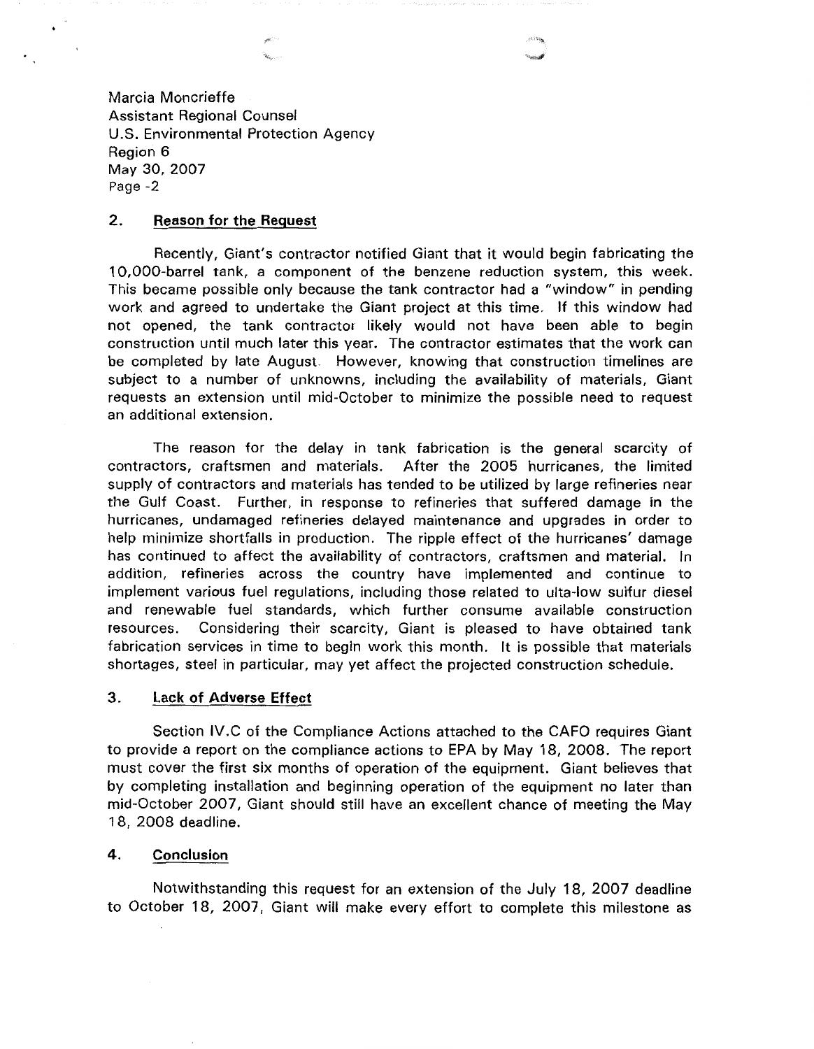Marcia Moncrieffe Assistant Regional Counsel U.S. Environmental Protection Agency Region 6 May 30, 2007 Page -2

# **2. Reason for the Request**

 $\bullet$ 

Recently, Giant's contractor notified Giant that it would begin fabricating the 10,000-barrel tank, a component of the benzene reduction system, this week. This became possible only because the tank contractor had a "window" in pending work and agreed to undertake the Giant project at this time. If this window had not opened, the tank contractor likely would not have been able to begin construction until much later this year. The contractor estimates that the work can be completed by late August. However, knowing that construction timelines are subject to a number of unknowns, including the availability of materials, Giant requests an extension until mid-October to minimize the possible need to request an additional extension.

The reason for the delay in tank fabrication is the general scarcity of contractors, craftsmen and materials. After the 2005 hurricanes, the limited supply of contractors and materials has tended to be utilized by large refineries near the Gulf Coast. Further, in response to refineries that suffered damage in the hurricanes, undamaged refineries delayed maintenance and upgrades in order to help minimize shortfalls in production. The ripple effect of the hurricanes' damage has continued to affect the availability of contractors, craftsmen and material. In addition, refineries across the country have implemented and continue to implement various fuel regulations, including those related to ulta-low sulfur diesel and renewable fuel standards, which further consume available construction resources. Considering their scarcity, Giant is pleased to have obtained tank fabrication services in time to begin work this month. It is possible that materials shortages, steel in particular, may yet affect the projected construction schedule.

#### **3. Lack of Adverse Effect**

Section IV .C of the Compliance Actions attached to the CAFO requires Giant to provide a report on the compliance actions to EPA by May 18, 2008. The report must cover the first six months of operation of the equipment. Giant believes that by completing installation and beginning operation of the equipment no later than mid-October 2007, Giant should still have an excellent chance of meeting the May 18, 2008 deadline.

## **4. Conclusion**

Notwithstanding this request for an extension of the July 18, 2007 deadline to October 18, 2007, Giant will make every effort to complete this milestone as